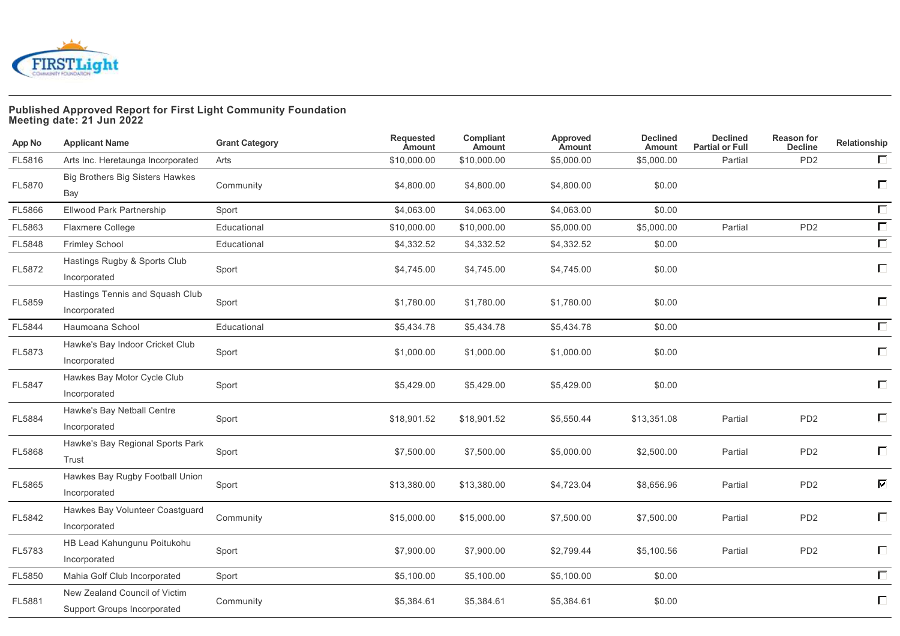

## **Published Approved Report for First Light Community Foundation Meeting date: 21 Jun 2022**

| App No | <b>Applicant Name</b>                                        | <b>Grant Category</b> | Requested<br><b>Amount</b> | Compliant<br>Amount | Approved<br>Amount | <b>Declined</b><br><b>Amount</b> | <b>Declined</b><br><b>Partial or Full</b> | <b>Reason for</b><br><b>Decline</b> | Relationship               |
|--------|--------------------------------------------------------------|-----------------------|----------------------------|---------------------|--------------------|----------------------------------|-------------------------------------------|-------------------------------------|----------------------------|
| FL5816 | Arts Inc. Heretaunga Incorporated                            | Arts                  | \$10,000.00                | \$10,000.00         | \$5,000.00         | \$5,000.00                       | Partial                                   | PD <sub>2</sub>                     | $\Box$                     |
| FL5870 | <b>Big Brothers Big Sisters Hawkes</b><br>Bay                | Community             | \$4,800.00                 | \$4,800.00          | \$4,800.00         | \$0.00                           |                                           |                                     | $\Box$                     |
| FL5866 | Ellwood Park Partnership                                     | Sport                 | \$4,063.00                 | \$4,063.00          | \$4,063.00         | \$0.00                           |                                           |                                     | $\Box$                     |
| FL5863 | Flaxmere College                                             | Educational           | \$10,000.00                | \$10,000.00         | \$5,000.00         | \$5,000.00                       | Partial                                   | PD <sub>2</sub>                     | $\overline{\Box}$          |
| FL5848 | <b>Frimley School</b>                                        | Educational           | \$4,332.52                 | \$4,332.52          | \$4,332.52         | \$0.00                           |                                           |                                     | $\Box$                     |
| FL5872 | Hastings Rugby & Sports Club<br>Incorporated                 | Sport                 | \$4,745.00                 | \$4,745.00          | \$4,745.00         | \$0.00                           |                                           |                                     | $\Box$                     |
| FL5859 | Hastings Tennis and Squash Club<br>Incorporated              | Sport                 | \$1,780.00                 | \$1,780.00          | \$1,780.00         | \$0.00                           |                                           |                                     | $\Box$                     |
| FL5844 | Haumoana School                                              | Educational           | \$5,434.78                 | \$5,434.78          | \$5,434.78         | \$0.00                           |                                           |                                     | $\Box$                     |
| FL5873 | Hawke's Bay Indoor Cricket Club<br>Incorporated              | Sport                 | \$1,000.00                 | \$1,000.00          | \$1,000.00         | \$0.00                           |                                           |                                     | $\Box$                     |
| FL5847 | Hawkes Bay Motor Cycle Club<br>Incorporated                  | Sport                 | \$5,429.00                 | \$5,429.00          | \$5,429.00         | \$0.00                           |                                           |                                     | $\Box$                     |
| FL5884 | Hawke's Bay Netball Centre<br>Incorporated                   | Sport                 | \$18,901.52                | \$18,901.52         | \$5,550.44         | \$13,351.08                      | Partial                                   | PD <sub>2</sub>                     | $\Box$                     |
| FL5868 | Hawke's Bay Regional Sports Park<br>Trust                    | Sport                 | \$7,500.00                 | \$7,500.00          | \$5,000.00         | \$2,500.00                       | Partial                                   | PD <sub>2</sub>                     | $\Box$                     |
| FL5865 | Hawkes Bay Rugby Football Union<br>Incorporated              | Sport                 | \$13,380.00                | \$13,380.00         | \$4,723.04         | \$8,656.96                       | Partial                                   | PD <sub>2</sub>                     | $\overline{\triangledown}$ |
| FL5842 | Hawkes Bay Volunteer Coastguard<br>Incorporated              | Community             | \$15,000.00                | \$15,000.00         | \$7,500.00         | \$7,500.00                       | Partial                                   | PD <sub>2</sub>                     | $\Box$                     |
| FL5783 | HB Lead Kahungunu Poitukohu<br>Incorporated                  | Sport                 | \$7,900.00                 | \$7,900.00          | \$2,799.44         | \$5,100.56                       | Partial                                   | PD <sub>2</sub>                     | $\Box$                     |
| FL5850 | Mahia Golf Club Incorporated                                 | Sport                 | \$5,100.00                 | \$5,100.00          | \$5,100.00         | \$0.00                           |                                           |                                     | $\Box$                     |
| FL5881 | New Zealand Council of Victim<br>Support Groups Incorporated | Community             | \$5,384.61                 | \$5,384.61          | \$5,384.61         | \$0.00                           |                                           |                                     | $\Box$                     |